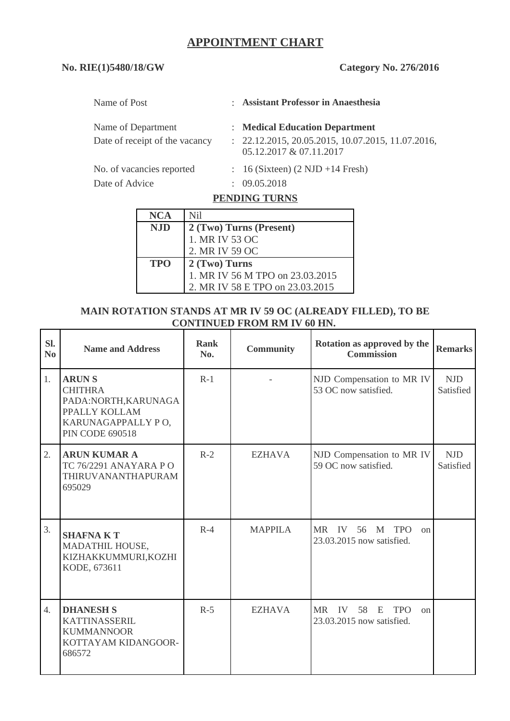# **APPOINTMENT CHART**

## **No. RIE(1)5480/18/GW Category No. 276/2016**

| Name of Post                   |   | : Assistant Professor in Anaesthesia                                           |
|--------------------------------|---|--------------------------------------------------------------------------------|
| Name of Department             |   | : Medical Education Department                                                 |
| Date of receipt of the vacancy |   | $: 22.12.2015, 20.05.2015, 10.07.2015, 11.07.2016,$<br>05.12.2017 & 07.11.2017 |
| No. of vacancies reported      |   | $\therefore$ 16 (Sixteen) (2 NJD +14 Fresh)                                    |
| Date of Advice                 | ÷ | 09.05.2018                                                                     |

### **PENDING TURNS**

| <b>NCA</b> | Nil                             |  |  |  |
|------------|---------------------------------|--|--|--|
| <b>NJD</b> | 2 (Two) Turns (Present)         |  |  |  |
|            | 1. MR IV 53 OC                  |  |  |  |
|            | 2. MR IV 59 OC                  |  |  |  |
| <b>TPO</b> | 2 (Two) Turns                   |  |  |  |
|            | 1. MR IV 56 M TPO on 23.03.2015 |  |  |  |
|            | 2. MR IV 58 E TPO on 23.03.2015 |  |  |  |

### **MAIN ROTATION STANDS AT MR IV 59 OC (ALREADY FILLED), TO BE CONTINUED FROM RM IV 60 HN.**

| SI.<br>No        | <b>Name and Address</b>                                                                                                 | <b>Rank</b><br>No. | <b>Community</b> | Rotation as approved by the<br><b>Commission</b>                               | <b>Remarks</b>          |
|------------------|-------------------------------------------------------------------------------------------------------------------------|--------------------|------------------|--------------------------------------------------------------------------------|-------------------------|
| 1.               | <b>ARUNS</b><br><b>CHITHRA</b><br>PADA:NORTH, KARUNAGA<br>PPALLY KOLLAM<br>KARUNAGAPPALLY PO,<br><b>PIN CODE 690518</b> | $R-1$              |                  | NJD Compensation to MR IV<br>53 OC now satisfied.                              | <b>NJD</b><br>Satisfied |
| 2.               | <b>ARUN KUMAR A</b><br>TC 76/2291 ANAYARA PO<br>THIRUVANANTHAPURAM<br>695029                                            | $R-2$              | <b>EZHAVA</b>    | NJD Compensation to MR IV<br>59 OC now satisfied.                              | <b>NJD</b><br>Satisfied |
| 3.               | <b>SHAFNAKT</b><br>MADATHIL HOUSE,<br>KIZHAKKUMMURI, KOZHI<br>KODE, 673611                                              | $R-4$              | <b>MAPPILA</b>   | MR IV<br>56<br><b>TPO</b><br>M<br>$_{0n}$<br>23.03.2015 now satisfied.         |                         |
| $\overline{4}$ . | <b>DHANESH S</b><br><b>KATTINASSERIL</b><br><b>KUMMANNOOR</b><br>KOTTAYAM KIDANGOOR-<br>686572                          | $R-5$              | <b>EZHAVA</b>    | IV<br><b>TPO</b><br><b>MR</b><br>58<br>$-E$<br>on<br>23.03.2015 now satisfied. |                         |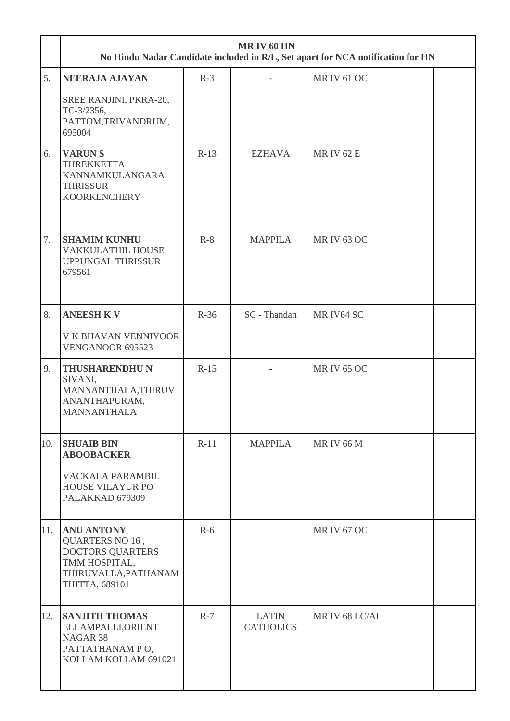|     | <b>MR IV 60 HN</b><br>No Hindu Nadar Candidate included in R/L, Set apart for NCA notification for HN                             |        |                                  |                    |  |  |
|-----|-----------------------------------------------------------------------------------------------------------------------------------|--------|----------------------------------|--------------------|--|--|
| 5.  | <b>NEERAJA AJAYAN</b><br>SREE RANJINI, PKRA-20,<br>TC-3/2356,<br>PATTOM, TRIVANDRUM,<br>695004                                    | $R-3$  |                                  | <b>MR IV 61 OC</b> |  |  |
| 6.  | <b>VARUNS</b><br><b>THREKKETTA</b><br>KANNAMKULANGARA<br><b>THRISSUR</b><br><b>KOORKENCHERY</b>                                   | $R-13$ | <b>EZHAVA</b>                    | <b>MRIV 62 E</b>   |  |  |
| 7.  | <b>SHAMIM KUNHU</b><br>VAKKULATHIL HOUSE<br><b>UPPUNGAL THRISSUR</b><br>679561                                                    | $R-8$  | <b>MAPPILA</b>                   | <b>MR IV 63 OC</b> |  |  |
| 8.  | <b>ANEESH KV</b><br>V K BHAVAN VENNIYOOR<br>VENGANOOR 695523                                                                      | $R-36$ | SC - Thandan                     | MR IV64 SC         |  |  |
| 9.  | <b>THUSHARENDHU N</b><br>SIVANI,<br>MANNANTHALA, THIRUV<br>ANANTHAPURAM,<br><b>MANNANTHALA</b>                                    | $R-15$ |                                  | <b>MR IV 65 OC</b> |  |  |
| 10. | <b>SHUAIB BIN</b><br><b>ABOOBACKER</b><br>VACKALA PARAMBIL<br><b>HOUSE VILAYUR PO</b><br>PALAKKAD 679309                          | $R-11$ | <b>MAPPILA</b>                   | <b>MRIV 66 M</b>   |  |  |
| 11. | <b>ANU ANTONY</b><br><b>QUARTERS NO 16,</b><br><b>DOCTORS QUARTERS</b><br>TMM HOSPITAL,<br>THIRUVALLA, PATHANAM<br>THITTA, 689101 | $R-6$  |                                  | <b>MR IV 67 OC</b> |  |  |
| 12. | <b>SANJITH THOMAS</b><br>ELLAMPALLI, ORIENT<br>NAGAR <sub>38</sub><br>PATTATHANAM PO,<br>KOLLAM KOLLAM 691021                     | $R-7$  | <b>LATIN</b><br><b>CATHOLICS</b> | MR IV 68 LC/AI     |  |  |